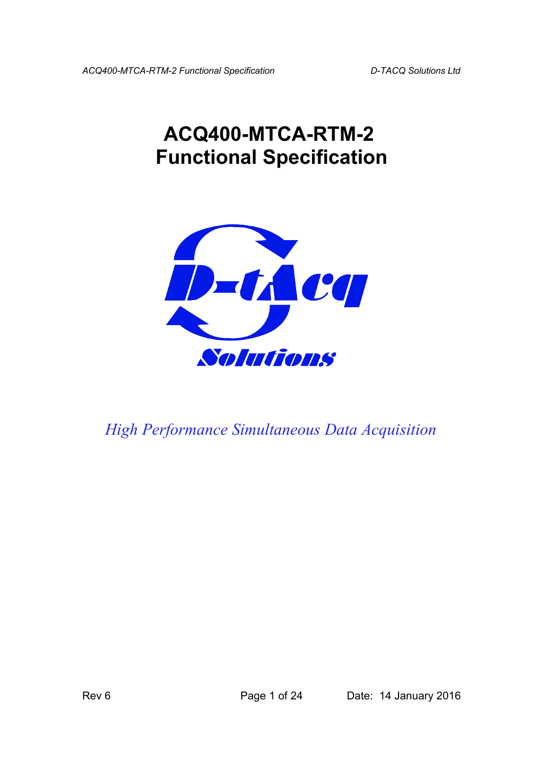# **ACQ400-MTCA-RTM-2 Functional Specification**



*High Performance Simultaneous Data Acquisition*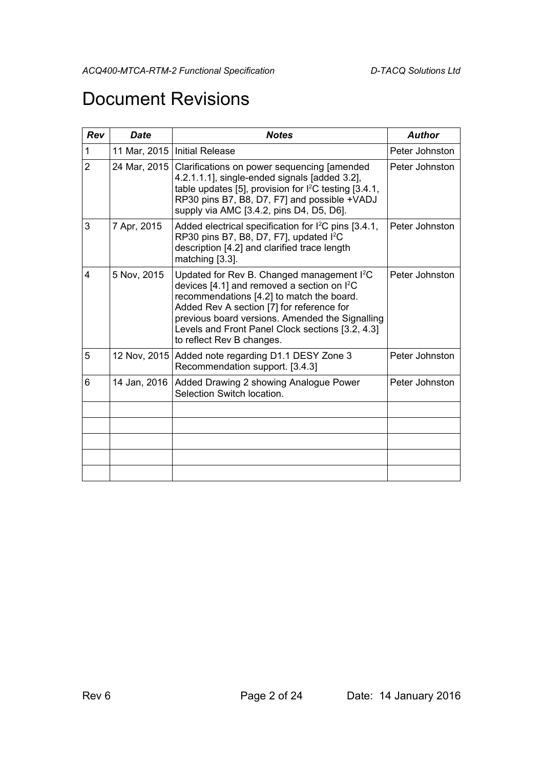## Document Revisions

| <b>Date</b>  | <b>Notes</b>                                                                                                                                                                                                                                                                                                                          | <b>Author</b>                |
|--------------|---------------------------------------------------------------------------------------------------------------------------------------------------------------------------------------------------------------------------------------------------------------------------------------------------------------------------------------|------------------------------|
| 11 Mar, 2015 | <b>Initial Release</b>                                                                                                                                                                                                                                                                                                                | Peter Johnston               |
|              | Clarifications on power sequencing [amended<br>4.2.1.1.1], single-ended signals [added 3.2],<br>table updates [5], provision for I <sup>2</sup> C testing [3.4.1,<br>RP30 pins B7, B8, D7, F7] and possible +VADJ<br>supply via AMC [3.4.2, pins D4, D5, D6].                                                                         | Peter Johnston               |
| 7 Apr, 2015  | Added electrical specification for $1^2C$ pins [3.4.1,<br>RP30 pins B7, B8, D7, F7], updated I <sup>2</sup> C<br>description [4.2] and clarified trace length<br>matching [3.3].                                                                                                                                                      | Peter Johnston               |
| 5 Nov, 2015  | Updated for Rev B. Changed management I <sup>2</sup> C<br>devices [4.1] and removed a section on $l^2C$<br>recommendations [4.2] to match the board.<br>Added Rev A section [7] for reference for<br>previous board versions. Amended the Signalling<br>Levels and Front Panel Clock sections [3.2, 4.3]<br>to reflect Rev B changes. | Peter Johnston               |
|              | Added note regarding D1.1 DESY Zone 3<br>Recommendation support. [3.4.3]                                                                                                                                                                                                                                                              | Peter Johnston               |
| 14 Jan, 2016 | Added Drawing 2 showing Analogue Power<br>Selection Switch location.                                                                                                                                                                                                                                                                  | Peter Johnston               |
|              |                                                                                                                                                                                                                                                                                                                                       |                              |
|              |                                                                                                                                                                                                                                                                                                                                       |                              |
|              |                                                                                                                                                                                                                                                                                                                                       |                              |
|              |                                                                                                                                                                                                                                                                                                                                       |                              |
|              |                                                                                                                                                                                                                                                                                                                                       | 24 Mar, 2015<br>12 Nov, 2015 |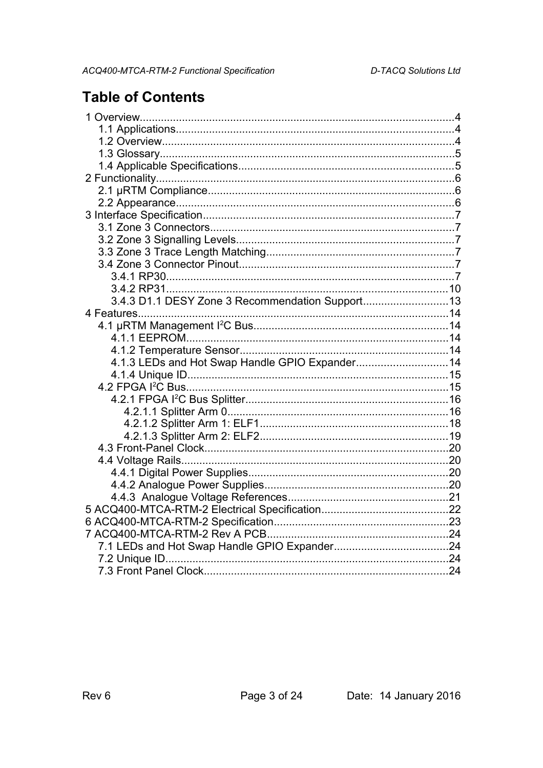## **Table of Contents**

| 3.4.3 D1.1 DESY Zone 3 Recommendation Support13 |  |
|-------------------------------------------------|--|
|                                                 |  |
|                                                 |  |
|                                                 |  |
|                                                 |  |
| 4.1.3 LEDs and Hot Swap Handle GPIO Expander 14 |  |
|                                                 |  |
|                                                 |  |
|                                                 |  |
|                                                 |  |
|                                                 |  |
|                                                 |  |
|                                                 |  |
|                                                 |  |
|                                                 |  |
|                                                 |  |
|                                                 |  |
|                                                 |  |
|                                                 |  |
|                                                 |  |
|                                                 |  |
|                                                 |  |
|                                                 |  |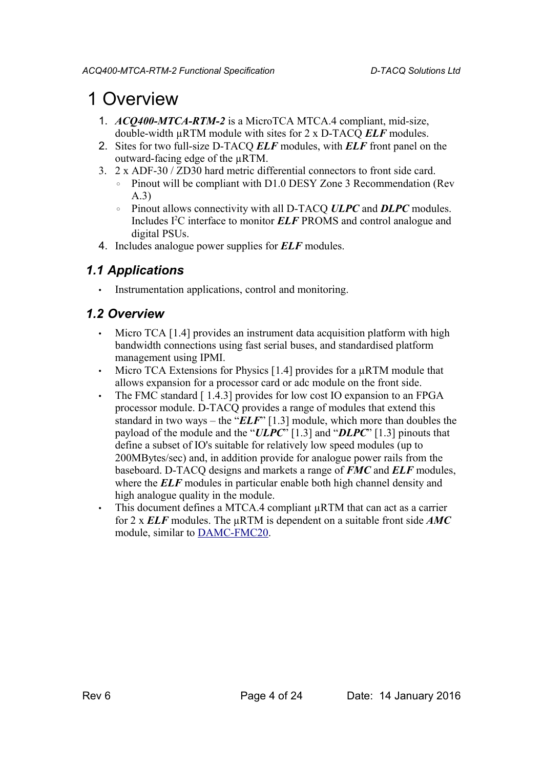## 1 Overview

- 1. *ACQ400-MTCA-RTM-2* is a MicroTCA MTCA.4 compliant, mid-size, double-width µRTM module with sites for 2 x D-TACQ *ELF* modules.
- 2. Sites for two full-size D-TACQ *ELF* modules, with *ELF* front panel on the outward-facing edge of the µRTM.
- 3. 2 x ADF-30 / ZD30 hard metric differential connectors to front side card.
	- Pinout will be compliant with D1.0 DESY Zone 3 Recommendation (Rev A.3)
	- Pinout allows connectivity with all D-TACQ *ULPC* and *DLPC* modules. Includes I<sup>2</sup>C interface to monitor *ELF* PROMS and control analogue and digital PSUs.
- 4. Includes analogue power supplies for *ELF* modules.

#### *1.1 Applications*

• Instrumentation applications, control and monitoring.

#### *1.2 Overview*

- Micro TCA [\[1.4](#page-4-1)[\]](#page-4-3) provides an instrument data acquisition platform with high bandwidth connections using fast serial buses, and standardised platform management using IPMI.
- Micro TCA Extensions for Physics  $[1.4]$  provides for a  $\mu$ RTM module that allows expansion for a processor card or adc module on the front side.
- The FMC standard [1.4.3] provides for low cost IO expansion to an FPGA processor module. D-TACQ provides a range of modules that extend this standard in two ways – the "*ELF*" [\[1.3\]](#page-4-0) module, which more than doubles the payload of the module and the "*ULPC*" [\[1.3\]](#page-4-0) and "*DLPC*" [\[1.3\]](#page-4-0) pinouts that define a subset of IO's suitable for relatively low speed modules (up to 200MBytes/sec) and, in addition provide for analogue power rails from the baseboard. D-TACQ designs and markets a range of *FMC* and *ELF* modules, where the **ELF** modules in particular enable both high channel density and high analogue quality in the module.
- This document defines a MTCA.4 compliant  $\mu$ RTM that can act as a carrier for 2 x *ELF* modules. The µRTM is dependent on a suitable front side *AMC*  module, similar to [DAMC-FMC20.](http://mtca.desy.de/sites/site_mtca/content/e172206/e179669/e203588/DAMC-FMC20_Datasheet_eng.pdf)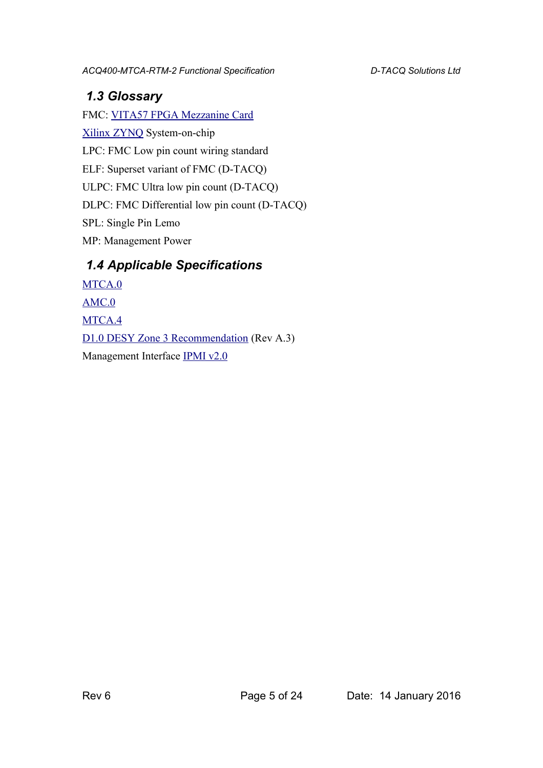### <span id="page-4-0"></span> *1.3 Glossary*

FMC: [VITA57 FPGA Mezzanine Card](http://www.vita.com/fmc.html) [Xilinx ZYNQ](http://www.xilinx.com/products/silicon-devices/soc/zynq-7000.html) System-on-chip LPC: FMC Low pin count wiring standard ELF: Superset variant of FMC (D-TACQ) ULPC: FMC Ultra low pin count (D-TACQ) DLPC: FMC Differential low pin count (D-TACQ) SPL: Single Pin Lemo MP: Management Power

### <span id="page-4-1"></span> *1.4 Applicable Specifications*

<span id="page-4-5"></span><span id="page-4-4"></span><span id="page-4-3"></span><span id="page-4-2"></span>[MTCA.0](https://www.picmg.org/wp-content/uploads/MicroTCA_Short_Form_Sept_2006.pdf) [AMC.0](https://www.picmg.org/wp-content/uploads/AMC.0_R2.0_Short_Form.pdf) [MTCA.4](http://mtca.desy.de/) [D1.0 DESY Zone 3 Recommendation](http://mtca.desy.de/resources/zone_3_recommendation/index_eng.html) (Rev A.3) Management Interface [IPMI v2.0](http://www.intel.co.uk/content/www/uk/en/servers/ipmi/second-gen-interface-spec-v2-rev1-4.html)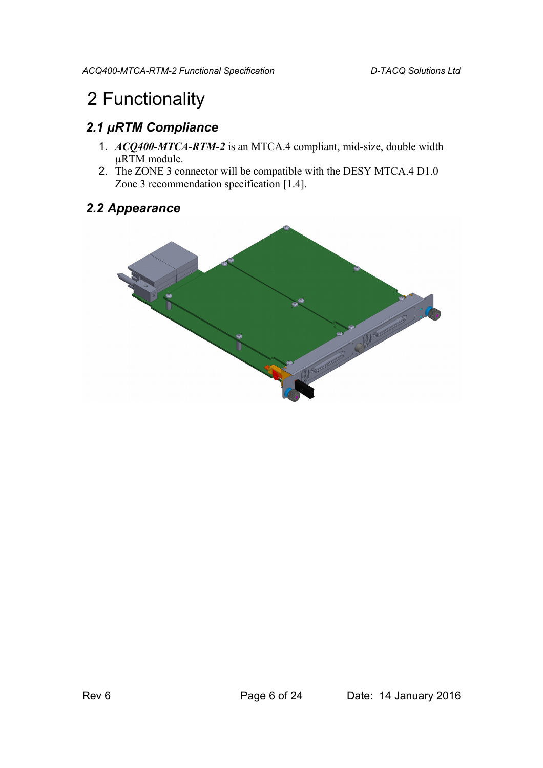## 2 Functionality

## *2.1 µRTM Compliance*

- 1. *ACQ400-MTCA-RTM-2* is an MTCA.4 compliant, mid-size, double width µRTM module.
- 2. The ZONE 3 connector will be compatible with the DESY MTCA.4 D1.0 Zone 3 recommendation specification [\[1.4](#page-4-1)[\]](#page-4-4).

### *2.2 Appearance*

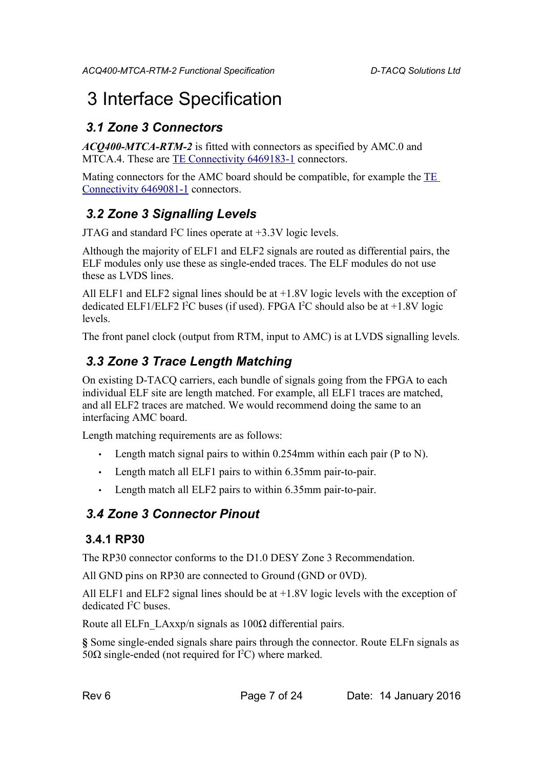## 3 Interface Specification

## *3.1 Zone 3 Connectors*

*ACQ400-MTCA-RTM-2* is fitted with connectors as specified by AMC.0 and MTCA.4. These are [TE Connectivity 6469183-1](http://www.te.com/catalog/pn/en/6469183-1) connectors.

Mating connectors for the AMC board should be compatible, for example the [TE](http://www.te.com/catalog/pn/en/6469081-1)  [Connectivity 6469081-1](http://www.te.com/catalog/pn/en/6469081-1) connectors.

## <span id="page-6-0"></span> *3.2 Zone 3 Signalling Levels*

JTAG and standard  $I^2C$  lines operate at  $+3.3V$  logic levels.

Although the majority of ELF1 and ELF2 signals are routed as differential pairs, the ELF modules only use these as single-ended traces. The ELF modules do not use these as LVDS lines.

All ELF1 and ELF2 signal lines should be at +1.8V logic levels with the exception of dedicated ELF1/ELF2 I<sup>2</sup>C buses (if used). FPGA I<sup>2</sup>C should also be at  $+1.8V$  logic levels.

The front panel clock (output from RTM, input to AMC) is at LVDS signalling levels.

## <span id="page-6-1"></span> *3.3 Zone 3 Trace Length Matching*

On existing D-TACQ carriers, each bundle of signals going from the FPGA to each individual ELF site are length matched. For example, all ELF1 traces are matched, and all ELF2 traces are matched. We would recommend doing the same to an interfacing AMC board.

Length matching requirements are as follows:

- Length match signal pairs to within  $0.254$ mm within each pair (P to N).
- Length match all ELF1 pairs to within 6.35mm pair-to-pair.
- Length match all ELF2 pairs to within 6.35mm pair-to-pair.

## *3.4 Zone 3 Connector Pinout*

#### <span id="page-6-2"></span> **3.4.1 RP30**

The RP30 connector conforms to the D1.0 DESY Zone 3 Recommendation.

All GND pins on RP30 are connected to Ground (GND or 0VD).

All ELF1 and ELF2 signal lines should be at  $+1.8V$  logic levels with the exception of dedicated I<sup>2</sup>C buses.

Route all ELFn\_LAxxp/n signals as  $100\Omega$  differential pairs.

**§** Some single-ended signals share pairs through the connector. Route ELFn signals as 50Ω single-ended (not required for  $I<sup>2</sup>C$ ) where marked.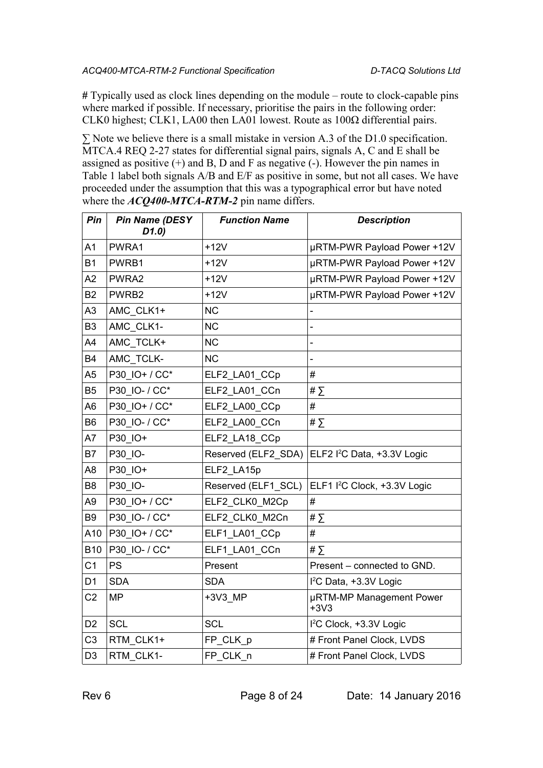**#** Typically used as clock lines depending on the module – route to clock-capable pins where marked if possible. If necessary, prioritise the pairs in the following order: CLK0 highest; CLK1, LA00 then LA01 lowest. Route as 100Ω differential pairs.

 $\Sigma$  Note we believe there is a small mistake in version A.3 of the D1.0 specification. MTCA.4 REQ 2-27 states for differential signal pairs, signals A, C and E shall be assigned as positive  $(+)$  and B, D and F as negative  $(-)$ . However the pin names in Table 1 label both signals A/B and E/F as positive in some, but not all cases. We have proceeded under the assumption that this was a typographical error but have noted where the *ACQ400-MTCA-RTM-2* pin name differs.

| Pin            | <b>Pin Name (DESY</b><br>D1.0) | <b>Function Name</b> | <b>Description</b>                       |
|----------------|--------------------------------|----------------------|------------------------------------------|
| A <sub>1</sub> | PWRA1                          | $+12V$               | µRTM-PWR Payload Power +12V              |
| <b>B1</b>      | PWRB1                          | $+12V$               | µRTM-PWR Payload Power +12V              |
| A2             | PWRA2                          | $+12V$               | µRTM-PWR Payload Power +12V              |
| <b>B2</b>      | PWRB2                          | $+12V$               | µRTM-PWR Payload Power +12V              |
| A3             | AMC CLK1+                      | <b>NC</b>            | $\overline{\phantom{0}}$                 |
| B <sub>3</sub> | AMC CLK1-                      | <b>NC</b>            |                                          |
| A4             | AMC TCLK+                      | <b>NC</b>            |                                          |
| <b>B4</b>      | AMC TCLK-                      | <b>NC</b>            |                                          |
| A <sub>5</sub> | P30 IO+ / CC*                  | ELF2 LA01 CCp        | #                                        |
| B <sub>5</sub> | P30 IO- / CC*                  | ELF2 LA01 CCn        | # $\Sigma$                               |
| A <sub>6</sub> | P30_IO+ / CC*                  | ELF2 LA00 CCp        | #                                        |
| B <sub>6</sub> | P30 IO- / CC*                  | ELF2_LA00_CCn        | # $\Sigma$                               |
| A7             | P30_IO+                        | ELF2_LA18_CCp        |                                          |
| <b>B7</b>      | P30_IO-                        | Reserved (ELF2_SDA)  | ELF2 I <sup>2</sup> C Data, +3.3V Logic  |
| A <sub>8</sub> | P30 IO+                        | ELF2 LA15p           |                                          |
| B <sub>8</sub> | P30_IO-                        | Reserved (ELF1_SCL)  | ELF1 I <sup>2</sup> C Clock, +3.3V Logic |
| A <sub>9</sub> | P30 IO+ / CC*                  | ELF2 CLK0 M2Cp       | #                                        |
| B <sub>9</sub> | P30 IO- / CC*                  | ELF2_CLK0_M2Cn       | # $\Sigma$                               |
| A10            | P30 IO+ / CC*                  | ELF1_LA01_CCp        | #                                        |
| <b>B10</b>     | P30 IO- / CC*                  | ELF1 LA01 CCn        | # $\sum$                                 |
| C <sub>1</sub> | <b>PS</b>                      | Present              | Present - connected to GND.              |
| D <sub>1</sub> | <b>SDA</b>                     | <b>SDA</b>           | I <sup>2</sup> C Data, +3.3V Logic       |
| C <sub>2</sub> | <b>MP</b>                      | +3V3_MP              | µRTM-MP Management Power<br>$+3V3$       |
| D <sub>2</sub> | <b>SCL</b>                     | <b>SCL</b>           | I <sup>2</sup> C Clock, +3.3V Logic      |
| C <sub>3</sub> | RTM_CLK1+                      | FP_CLK_p             | # Front Panel Clock, LVDS                |
| D <sub>3</sub> | RTM_CLK1-                      | FP CLK n             | # Front Panel Clock, LVDS                |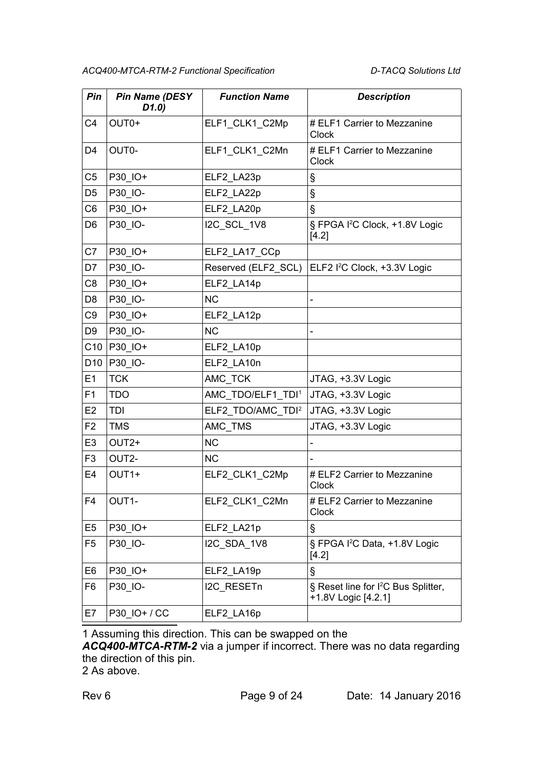| Pin             | <b>Pin Name (DESY</b><br>D1.0) | <b>Function Name</b>          | <b>Description</b>                                                     |
|-----------------|--------------------------------|-------------------------------|------------------------------------------------------------------------|
| C <sub>4</sub>  | OUT <sub>0+</sub>              | ELF1_CLK1_C2Mp                | # ELF1 Carrier to Mezzanine<br><b>Clock</b>                            |
| D4              | OUT0-                          | ELF1_CLK1_C2Mn                | # ELF1 Carrier to Mezzanine<br>Clock                                   |
| C <sub>5</sub>  | P30_IO+                        | ELF2_LA23p                    | Ş                                                                      |
| D <sub>5</sub>  | P30 IO-                        | ELF2 LA22p                    | Ş                                                                      |
| C <sub>6</sub>  | P30_IO+                        | ELF2_LA20p                    | ş                                                                      |
| D <sub>6</sub>  | P30 IO-                        | I2C_SCL_1V8                   | § FPGA I <sup>2</sup> C Clock, +1.8V Logic<br>[4.2]                    |
| C7              | P30 IO+                        | ELF2_LA17_CCp                 |                                                                        |
| D7              | P30 IO-                        | Reserved (ELF2 SCL)           | ELF2 I <sup>2</sup> C Clock, +3.3V Logic                               |
| C8              | P30 IO+                        | ELF2 LA14p                    |                                                                        |
| D <sub>8</sub>  | P30_IO-                        | <b>NC</b>                     |                                                                        |
| C <sub>9</sub>  | P30 IO+                        | ELF2 LA12p                    |                                                                        |
| D <sub>9</sub>  | P30 IO-                        | <b>NC</b>                     |                                                                        |
| C10             | P30 IO+                        | ELF2 LA10p                    |                                                                        |
| D <sub>10</sub> | P30 IO-                        | ELF2_LA10n                    |                                                                        |
| E1              | <b>TCK</b>                     | AMC TCK                       | JTAG, +3.3V Logic                                                      |
| F1              | <b>TDO</b>                     | AMC_TDO/ELF1_TDI <sup>1</sup> | JTAG, +3.3V Logic                                                      |
| E <sub>2</sub>  | TDI                            | ELF2_TDO/AMC_TDI <sup>2</sup> | JTAG, +3.3V Logic                                                      |
| F <sub>2</sub>  | <b>TMS</b>                     | AMC_TMS                       | JTAG, +3.3V Logic                                                      |
| E <sub>3</sub>  | OUT <sub>2+</sub>              | <b>NC</b>                     |                                                                        |
| F <sub>3</sub>  | OUT2-                          | <b>NC</b>                     |                                                                        |
| E <sub>4</sub>  | OUT <sub>1+</sub>              | ELF2_CLK1_C2Mp                | # ELF2 Carrier to Mezzanine<br><b>Clock</b>                            |
| F4              | OUT1-                          | ELF2_CLK1_C2Mn                | # ELF2 Carrier to Mezzanine<br>Clock                                   |
| E <sub>5</sub>  | P30 IO+                        | ELF2_LA21p                    | §                                                                      |
| F <sub>5</sub>  | P30 IO-                        | I2C SDA 1V8                   | § FPGA I <sup>2</sup> C Data, +1.8V Logic<br>[4.2]                     |
| E <sub>6</sub>  | P30 IO+                        | ELF2_LA19p                    | §                                                                      |
| F6              | P30_IO-                        | I2C RESETn                    | § Reset line for I <sup>2</sup> C Bus Splitter,<br>+1.8V Logic [4.2.1] |
| E7              | P30 IO+ / CC                   | ELF2_LA16p                    |                                                                        |

<span id="page-8-0"></span>1 Assuming this direction. This can be swapped on the

*ACQ400-MTCA-RTM-2* via a jumper if incorrect. There was no data regarding the direction of this pin.

<span id="page-8-1"></span>2 As above.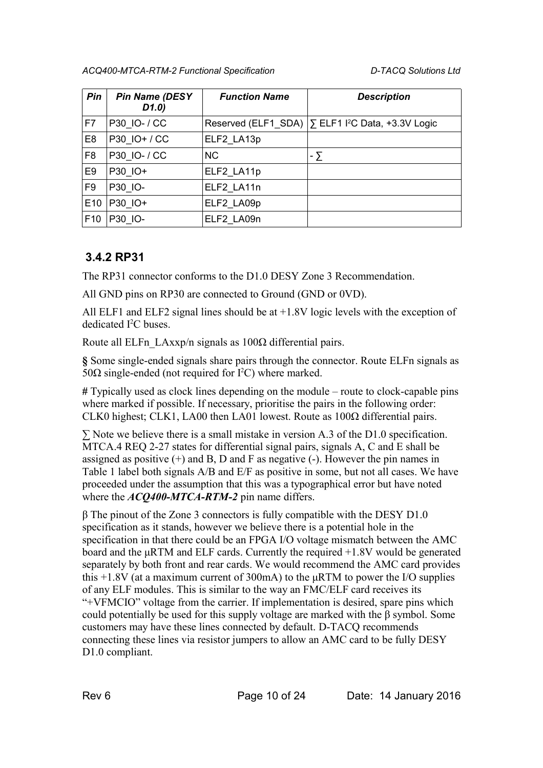| Pin             | <b>Pin Name (DESY</b><br>D(1.0) | <b>Function Name</b> | <b>Description</b>                                                 |
|-----------------|---------------------------------|----------------------|--------------------------------------------------------------------|
| F7              | P30 IO- / CC                    |                      | Reserved (ELF1 SDA) $\sum$ ELF1 I <sup>2</sup> C Data, +3.3V Logic |
| E <sub>8</sub>  | P30 IO+ / CC                    | ELF2_LA13p           |                                                                    |
| F <sub>8</sub>  | P30 IO- / CC                    | NC.                  | $-\sum$                                                            |
| E9              | P30 IO+                         | ELF2 LA11p           |                                                                    |
| F <sub>9</sub>  | P30 IO-                         | ELF2 LA11n           |                                                                    |
| E <sub>10</sub> | P30 IO+                         | ELF2 LA09p           |                                                                    |
| F <sub>10</sub> | P30 IO-                         | ELF2 LA09n           |                                                                    |

### <span id="page-9-0"></span> **3.4.2 RP31**

The RP31 connector conforms to the D1.0 DESY Zone 3 Recommendation.

All GND pins on RP30 are connected to Ground (GND or 0VD).

All ELF1 and ELF2 signal lines should be at  $+1.8V$  logic levels with the exception of dedicated I<sup>2</sup>C buses.

Route all ELFn\_LAxxp/n signals as  $100\Omega$  differential pairs.

**§** Some single-ended signals share pairs through the connector. Route ELFn signals as 50Ω single-ended (not required for  $I<sup>2</sup>C$ ) where marked.

**#** Typically used as clock lines depending on the module – route to clock-capable pins where marked if possible. If necessary, prioritise the pairs in the following order: CLK0 highest; CLK1, LA00 then LA01 lowest. Route as 100Ω differential pairs.

∑ Note we believe there is a small mistake in version A.3 of the D1.0 specification. MTCA.4 REQ 2-27 states for differential signal pairs, signals A, C and E shall be assigned as positive  $(+)$  and  $B$ ,  $D$  and  $F$  as negative  $(-)$ . However the pin names in Table 1 label both signals A/B and E/F as positive in some, but not all cases. We have proceeded under the assumption that this was a typographical error but have noted where the *ACQ400-MTCA-RTM-2* pin name differs.

β The pinout of the Zone 3 connectors is fully compatible with the DESY D1.0 specification as it stands, however we believe there is a potential hole in the specification in that there could be an FPGA I/O voltage mismatch between the AMC board and the  $\mu$ RTM and ELF cards. Currently the required  $+1.8V$  would be generated separately by both front and rear cards. We would recommend the AMC card provides this  $+1.8V$  (at a maximum current of 300mA) to the  $\mu$ RTM to power the I/O supplies of any ELF modules. This is similar to the way an FMC/ELF card receives its "+VFMCIO" voltage from the carrier. If implementation is desired, spare pins which could potentially be used for this supply voltage are marked with the β symbol. Some customers may have these lines connected by default. D-TACQ recommends connecting these lines via resistor jumpers to allow an AMC card to be fully DESY D1.0 compliant.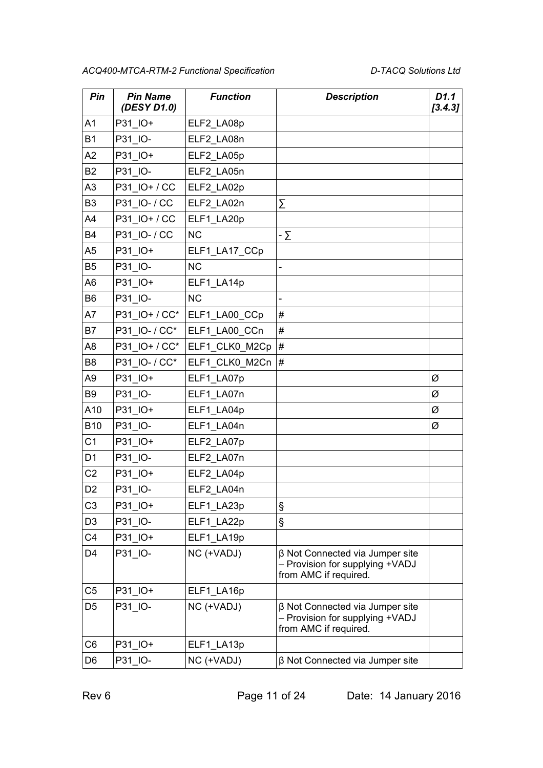| Pin            | <b>Pin Name</b><br>(DESY D1.0) | <b>Function</b> | <b>Description</b>                                                                          | D1.1<br>[3.4.3] |
|----------------|--------------------------------|-----------------|---------------------------------------------------------------------------------------------|-----------------|
| A <sub>1</sub> | P31_IO+                        | ELF2_LA08p      |                                                                                             |                 |
| <b>B1</b>      | P31 IO-                        | ELF2 LA08n      |                                                                                             |                 |
| A <sub>2</sub> | P31_IO+                        | ELF2_LA05p      |                                                                                             |                 |
| <b>B2</b>      | P31 IO-                        | ELF2 LA05n      |                                                                                             |                 |
| A <sub>3</sub> | P31_IO+/CC                     | ELF2_LA02p      |                                                                                             |                 |
| B <sub>3</sub> | P31 IO- / CC                   | ELF2_LA02n      | Σ                                                                                           |                 |
| A4             | P31 IO+ / CC                   | ELF1_LA20p      |                                                                                             |                 |
| B4             | P31 IO- / CC                   | <b>NC</b>       | - $\Sigma$                                                                                  |                 |
| A5             | P31 IO+                        | ELF1_LA17_CCp   |                                                                                             |                 |
| <b>B5</b>      | P31_IO-                        | <b>NC</b>       |                                                                                             |                 |
| A <sub>6</sub> | P31 IO+                        | ELF1 LA14p      |                                                                                             |                 |
| B <sub>6</sub> | P31_IO-                        | <b>NC</b>       |                                                                                             |                 |
| A7             | P31 IO+/CC*                    | ELF1 LA00 CCp   | #                                                                                           |                 |
| B7             | P31 IO- / CC*                  | ELF1_LA00_CCn   | #                                                                                           |                 |
| A <sub>8</sub> | P31 IO+ / CC*                  | ELF1_CLK0_M2Cp  | #                                                                                           |                 |
| B <sub>8</sub> | P31 IO- / CC*                  | ELF1_CLK0_M2Cn  | #                                                                                           |                 |
| A9             | P31 IO+                        | ELF1_LA07p      |                                                                                             | Ø               |
| B <sub>9</sub> | P31_IO-                        | ELF1_LA07n      |                                                                                             | Ø               |
| A10            | P31 IO+                        | ELF1_LA04p      |                                                                                             | Ø               |
| <b>B10</b>     | P31 IO-                        | ELF1 LA04n      |                                                                                             | Ø               |
| C <sub>1</sub> | P31_IO+                        | ELF2_LA07p      |                                                                                             |                 |
| D <sub>1</sub> | P31 IO-                        | ELF2 LA07n      |                                                                                             |                 |
| C <sub>2</sub> | P31_IO+                        | ELF2_LA04p      |                                                                                             |                 |
| D <sub>2</sub> | P31 IO-                        | ELF2 LA04n      |                                                                                             |                 |
| C <sub>3</sub> | P31 IO+                        | ELF1_LA23p      | §                                                                                           |                 |
| D <sub>3</sub> | P31 IO-                        | ELF1_LA22p      | Ş                                                                                           |                 |
| C <sub>4</sub> | P31_IO+                        | ELF1_LA19p      |                                                                                             |                 |
| D <sub>4</sub> | P31_IO-                        | NC (+VADJ)      | β Not Connected via Jumper site<br>- Provision for supplying +VADJ<br>from AMC if required. |                 |
| C <sub>5</sub> | P31_IO+                        | ELF1_LA16p      |                                                                                             |                 |
| D <sub>5</sub> | P31_IO-                        | NC (+VADJ)      | β Not Connected via Jumper site<br>- Provision for supplying +VADJ<br>from AMC if required. |                 |
| C <sub>6</sub> | P31 IO+                        | ELF1_LA13p      |                                                                                             |                 |
| D <sub>6</sub> | P31 IO-                        | NC (+VADJ)      | β Not Connected via Jumper site                                                             |                 |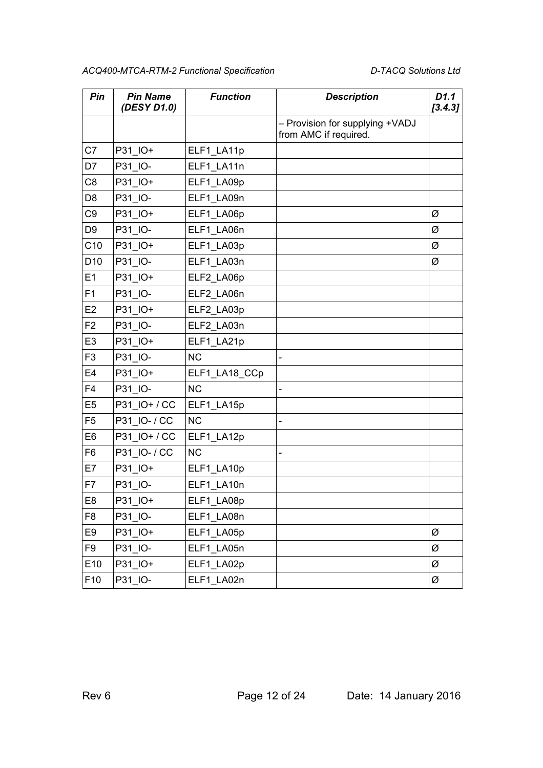| Pin             | <b>Pin Name</b><br>(DESY D1.0) | <b>Function</b> | <b>Description</b>                                       | D1.1<br>[3.4.3] |
|-----------------|--------------------------------|-----------------|----------------------------------------------------------|-----------------|
|                 |                                |                 | - Provision for supplying +VADJ<br>from AMC if required. |                 |
| C7              | P31_IO+                        | ELF1_LA11p      |                                                          |                 |
| D7              | P31 IO-                        | ELF1 LA11n      |                                                          |                 |
| C <sub>8</sub>  | P31 IO+                        | ELF1 LA09p      |                                                          |                 |
| D <sub>8</sub>  | P31 IO-                        | ELF1 LA09n      |                                                          |                 |
| C <sub>9</sub>  | P31 IO+                        | ELF1_LA06p      |                                                          | Ø               |
| D <sub>9</sub>  | P31 IO-                        | ELF1_LA06n      |                                                          | Ø               |
| C10             | P31 IO+                        | ELF1_LA03p      |                                                          | Ø               |
| D <sub>10</sub> | P31 IO-                        | ELF1_LA03n      |                                                          | Ø               |
| E1              | P31_IO+                        | ELF2 LA06p      |                                                          |                 |
| F <sub>1</sub>  | P31 IO-                        | ELF2 LA06n      |                                                          |                 |
| E <sub>2</sub>  | P31_IO+                        | ELF2 LA03p      |                                                          |                 |
| F <sub>2</sub>  | P31 IO-                        | ELF2 LA03n      |                                                          |                 |
| E <sub>3</sub>  | P31 IO+                        | ELF1_LA21p      |                                                          |                 |
| F <sub>3</sub>  | P31 IO-                        | <b>NC</b>       |                                                          |                 |
| E <sub>4</sub>  | P31_IO+                        | ELF1_LA18_CCp   |                                                          |                 |
| F <sub>4</sub>  | P31 IO-                        | <b>NC</b>       | $\overline{a}$                                           |                 |
| E <sub>5</sub>  | P31 IO+/CC                     | ELF1_LA15p      |                                                          |                 |
| F <sub>5</sub>  | P31 IO- / CC                   | <b>NC</b>       | $\overline{a}$                                           |                 |
| E <sub>6</sub>  | P31 IO+/CC                     | ELF1_LA12p      |                                                          |                 |
| F <sub>6</sub>  | P31 IO- / CC                   | <b>NC</b>       |                                                          |                 |
| E7              | P31 IO+                        | ELF1_LA10p      |                                                          |                 |
| F7              | P31 IO-                        | ELF1 LA10n      |                                                          |                 |
| E8              | P31_IO+                        | ELF1_LA08p      |                                                          |                 |
| F <sub>8</sub>  | P31_IO-                        | ELF1_LA08n      |                                                          |                 |
| E9              | P31_IO+                        | ELF1_LA05p      |                                                          | Ø               |
| F <sub>9</sub>  | P31 IO-                        | ELF1_LA05n      |                                                          | Ø               |
| E10             | P31_IO+                        | ELF1_LA02p      |                                                          | Ø               |
| F <sub>10</sub> | P31_IO-                        | ELF1_LA02n      |                                                          | Ø               |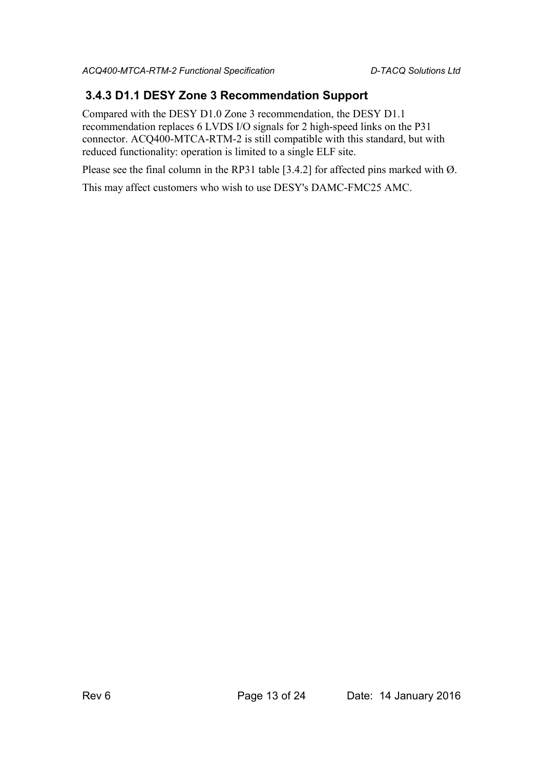#### <span id="page-12-0"></span> **3.4.3 D1.1 DESY Zone 3 Recommendation Support**

Compared with the DESY D1.0 Zone 3 recommendation, the DESY D1.1 recommendation replaces 6 LVDS I/O signals for 2 high-speed links on the P31 connector. ACQ400-MTCA-RTM-2 is still compatible with this standard, but with reduced functionality: operation is limited to a single ELF site.

Please see the final column in the RP31 table [\[3.4.2\]](#page-9-0) for affected pins marked with  $\emptyset$ .

This may affect customers who wish to use DESY's DAMC-FMC25 AMC.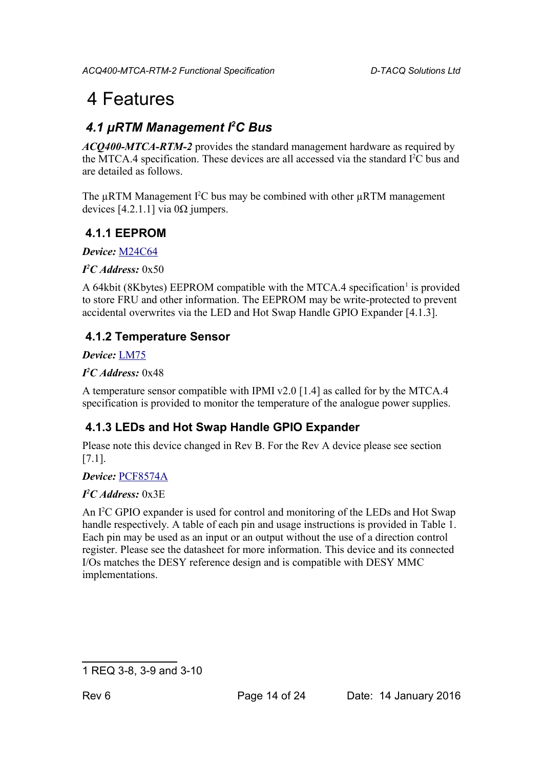## 4 Features

## <span id="page-13-0"></span> *4.1 µRTM Management I<sup>2</sup>C Bus*

*ACQ400-MTCA-RTM-2* provides the standard management hardware as required by the MTCA.4 specification. These devices are all accessed via the standard I<sup>2</sup>C bus and are detailed as follows.

The  $\mu$ RTM Management I<sup>2</sup>C bus may be combined with other  $\mu$ RTM management devices [\[4.2.1.1\]](#page-15-2) via 0Ω jumpers.

#### **4.1.1 EEPROM**

*Device:* [M24C64](http://www.st.com/web/en/resource/technical/document/datasheet/CD00259166.pdf)

*I <sup>2</sup>C Address:* 0x50

A 64kbit (8Kbytes) EEPROM compatible with the MTCA.4 specification<sup>[1](#page-13-2)</sup> is provided to store FRU and other information. The EEPROM may be write-protected to prevent accidental overwrites via the LED and Hot Swap Handle GPIO Expander [\[4.1.3\]](#page-13-1).

### **4.1.2 Temperature Sensor**

*Device:* [LM75](http://www.ti.com/lit/ds/symlink/lm75b.pdf)

*I <sup>2</sup>C Address:* 0x48

A temperature sensor compatible with IPMI v2.0 [\[1.4\]](#page-4-1) as called for by the MTCA.4 specification is provided to monitor the temperature of the analogue power supplies.

## <span id="page-13-1"></span> **4.1.3 LEDs and Hot Swap Handle GPIO Expander**

Please note this device changed in Rev B. For the Rev A device please see section [\[7.1\]](#page-23-1).

#### *Device:* [PCF8574A](http://www.ti.com/lit/ds/symlink/pcf8574a.pdf)

#### *I <sup>2</sup>C Address:* 0x3E

An I<sup>2</sup>C GPIO expander is used for control and monitoring of the LEDs and Hot Swap handle respectively. A table of each pin and usage instructions is provided in [Table 1.](#page-14-1) Each pin may be used as an input or an output without the use of a direction control register. Please see the datasheet for more information. This device and its connected I/Os matches the DESY reference design and is compatible with DESY MMC implementations.

<span id="page-13-2"></span><sup>1</sup> REQ 3-8, 3-9 and 3-10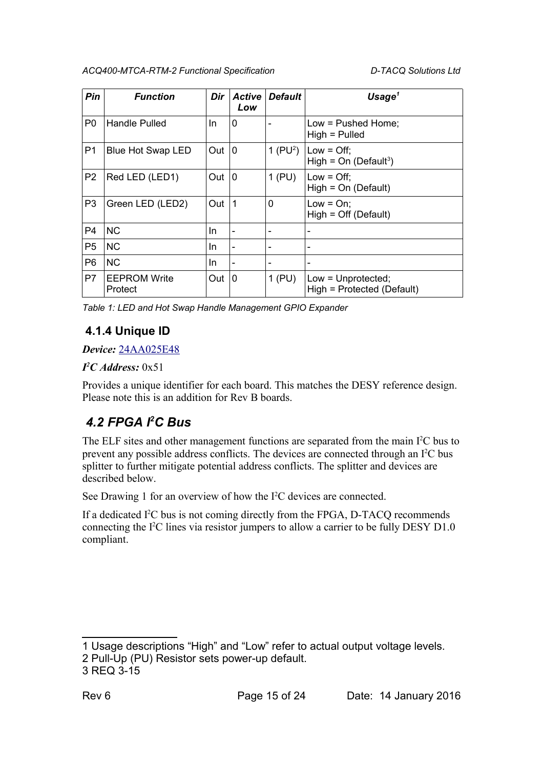| Pin            | <b>Function</b>                | Dir | <b>Active</b><br>Low | <b>Default</b> | Usage $1$                                          |
|----------------|--------------------------------|-----|----------------------|----------------|----------------------------------------------------|
| P <sub>0</sub> | Handle Pulled                  | In  | 0                    |                | Low = Pushed Home;<br>$High = Pulled$              |
| P1             | Blue Hot Swap LED              | Out | $\mathbf 0$          | 1 ( $PU2$ )    | Low = $Off;$<br>High = $On (Default3)$             |
| P <sub>2</sub> | Red LED (LED1)                 | Out | $\Omega$             | $1$ (PU)       | Low = $Off;$<br>$High = On (Default)$              |
| P <sub>3</sub> | Green LED (LED2)               | Out | 1                    | 0              | $Low = On;$<br>$High = Off (Default)$              |
| P4             | <b>NC</b>                      | In  |                      |                |                                                    |
| P <sub>5</sub> | <b>NC</b>                      | In. |                      |                |                                                    |
| P <sub>6</sub> | <b>NC</b>                      | In  | -                    |                | $\overline{\phantom{a}}$                           |
| P7             | <b>EEPROM Write</b><br>Protect | Out | $\mathbf 0$          | $1$ (PU)       | $Low = Unprotected;$<br>High = Protected (Default) |

<span id="page-14-1"></span>*Table 1: LED and Hot Swap Handle Management GPIO Expander*

### **4.1.4 Unique ID**

#### *Device:* [24AA025E48](http://ww1.microchip.com/downloads/en/DeviceDoc/22124D.pdf)

#### *I <sup>2</sup>C Address:* 0x51

Provides a unique identifier for each board. This matches the DESY reference design. Please note this is an addition for Rev B boards.

## <span id="page-14-0"></span> *4.2 FPGA I<sup>2</sup>C Bus*

The ELF sites and other management functions are separated from the main  $I<sup>2</sup>C$  bus to prevent any possible address conflicts. The devices are connected through an I<sup>2</sup>C bus splitter to further mitigate potential address conflicts. The splitter and devices are described below.

See [Drawing 1](#page-15-3) for an overview of how the I<sup>2</sup>C devices are connected.

If a dedicated I <sup>2</sup>C bus is not coming directly from the FPGA, D-TACQ recommends connecting the I<sup>2</sup>C lines via resistor jumpers to allow a carrier to be fully DESY D1.0 compliant.

<span id="page-14-2"></span><sup>1</sup> Usage descriptions "High" and "Low" refer to actual output voltage levels.

<span id="page-14-3"></span><sup>2</sup> Pull-Up (PU) Resistor sets power-up default.

<span id="page-14-4"></span><sup>3</sup> REQ 3-15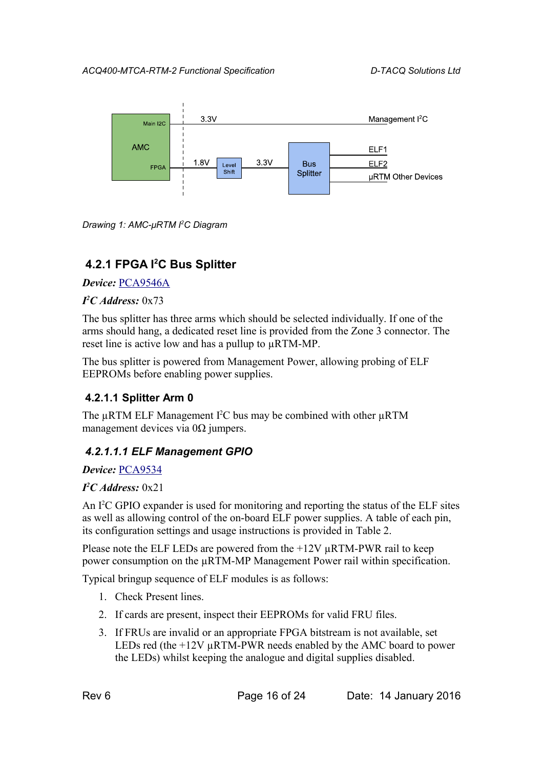

<span id="page-15-3"></span>*Drawing 1: AMC-µRTM I2C Diagram*

### <span id="page-15-1"></span> **4.2.1 FPGA I<sup>2</sup>C Bus Splitter**

*Device:* [PCA9546A](http://www.ti.com/lit/ds/symlink/pca9546a.pdf)

#### *I <sup>2</sup>C Address:* 0x73

The bus splitter has three arms which should be selected individually. If one of the arms should hang, a dedicated reset line is provided from the Zone 3 connector. The reset line is active low and has a pullup to µRTM-MP.

The bus splitter is powered from Management Power, allowing probing of ELF EEPROMs before enabling power supplies.

#### <span id="page-15-2"></span> **4.2.1.1 Splitter Arm 0**

The µRTM ELF Management I<sup>2</sup>C bus may be combined with other µRTM management devices via  $0\Omega$  jumpers.

#### <span id="page-15-0"></span> *4.2.1.1.1 ELF Management GPIO*

#### *Device:* [PCA9534](http://www.ti.com/lit/ds/symlink/pca9534.pdf)

#### *I <sup>2</sup>C Address:* 0x21

An  $I^2C$  GPIO expander is used for monitoring and reporting the status of the ELF sites as well as allowing control of the on-board ELF power supplies. A table of each pin, its configuration settings and usage instructions is provided in [Table 2.](#page-16-0)

Please note the ELF LEDs are powered from the  $+12V \mu RTM-PWR$  rail to keep power consumption on the µRTM-MP Management Power rail within specification.

Typical bringup sequence of ELF modules is as follows:

- 1. Check Present lines.
- 2. If cards are present, inspect their EEPROMs for valid FRU files.
- 3. If FRUs are invalid or an appropriate FPGA bitstream is not available, set LEDs red (the +12V µRTM-PWR needs enabled by the AMC board to power the LEDs) whilst keeping the analogue and digital supplies disabled.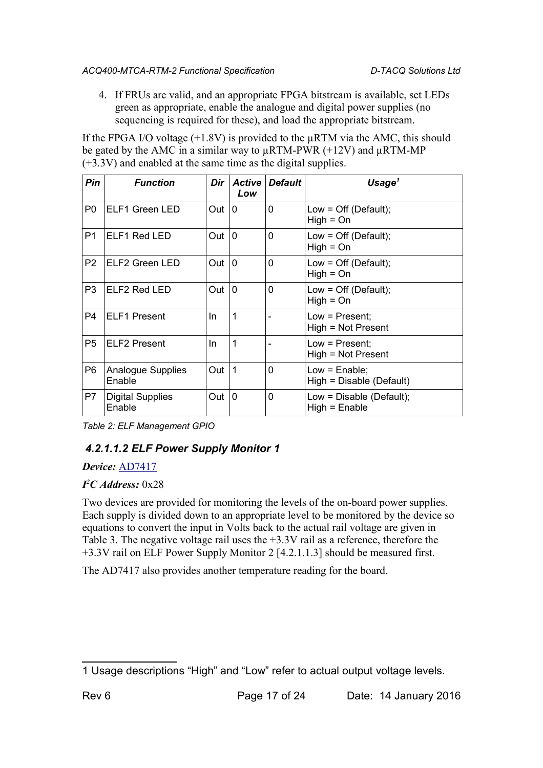4. If FRUs are valid, and an appropriate FPGA bitstream is available, set LEDs green as appropriate, enable the analogue and digital power supplies (no sequencing is required for these), and load the appropriate bitstream.

If the FPGA I/O voltage  $(+1.8V)$  is provided to the  $\mu$ RTM via the AMC, this should be gated by the AMC in a similar way to  $\mu$ RTM-PWR (+12V) and  $\mu$ RTM-MP (+3.3V) and enabled at the same time as the digital supplies.

| Pin            | <b>Function</b>                   | Dir | <b>Active</b><br>Low | <b>Default</b> | Usage $1$                                     |
|----------------|-----------------------------------|-----|----------------------|----------------|-----------------------------------------------|
| P <sub>0</sub> | ELF1 Green LED                    | Out | 10                   | 0              | Low = $Off$ (Default);<br>$High = On$         |
| P <sub>1</sub> | ELF1 Red LED                      | Out | $\mathbf{0}$         | 0              | Low = $Off$ (Default);<br>$High = On$         |
| P <sub>2</sub> | ELF2 Green LED                    | Out | $\Omega$             | 0              | Low = $Off$ (Default);<br>$High = On$         |
| P3             | ELF2 Red LED                      | Out | $\Omega$             | 0              | Low = $Off (Default);$<br>$High = On$         |
| P <sub>4</sub> | <b>ELF1</b> Present               | In. | 1                    |                | $Low = Present;$<br>High = Not Present        |
| P <sub>5</sub> | <b>ELF2 Present</b>               | In. | 1                    |                | Low = Present;<br>High = Not Present          |
| P <sub>6</sub> | Analogue Supplies<br>Enable       | Out | 1                    | 0              | Low = $Enable;$<br>High = Disable (Default)   |
| P7             | <b>Digital Supplies</b><br>Enable | Out | $\mathbf 0$          | 0              | Low = $Disable$ (Default);<br>$High = Enable$ |

<span id="page-16-0"></span>*Table 2: ELF Management GPIO*

#### <span id="page-16-2"></span> *4.2.1.1.2 ELF Power Supply Monitor 1*

#### *Device:* [AD7417](http://www.analog.com/media/en/technical-documentation/data-sheets/AD7416_7417_7418.pdf)

#### *I <sup>2</sup>C Address:* 0x28

Two devices are provided for monitoring the levels of the on-board power supplies. Each supply is divided down to an appropriate level to be monitored by the device so equations to convert the input in Volts back to the actual rail voltage are given i[n](#page-17-1) [Table 3.](#page-17-1) The negative voltage rail uses the +3.3V rail as a reference, therefore the +3.3V rail on ELF Power Supply Monitor 2 [\[4.2.1.1.3\]](#page-17-0) should be measured first.

The AD7417 also provides another temperature reading for the board.

<span id="page-16-1"></span><sup>1</sup> Usage descriptions "High" and "Low" refer to actual output voltage levels.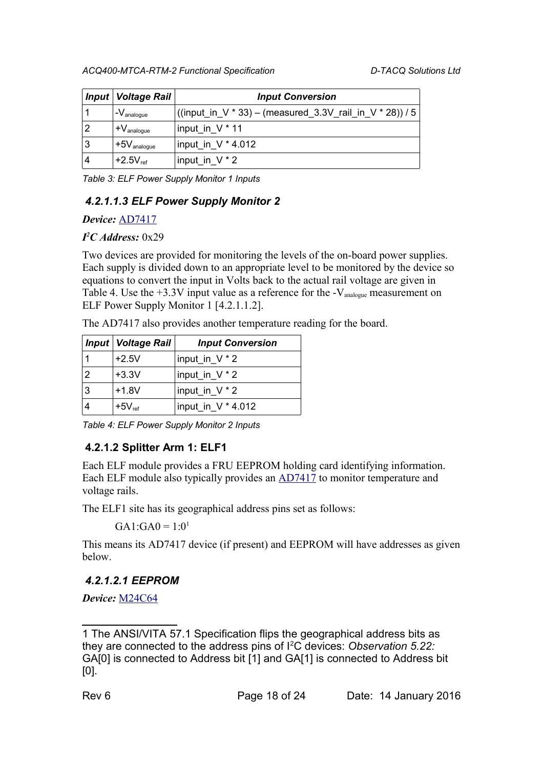|   | Input   Voltage Rail                 | <b>Input Conversion</b>                                  |
|---|--------------------------------------|----------------------------------------------------------|
|   | $-V_{\text{analogue}}$               | ((input_in_V * 33) – (measured_3.3V_rail_in_V * 28)) / 5 |
| 2 | l $\mathsf{+V}_{\mathsf{analogue}}$  | input in $V^*$ 11                                        |
| 3 | l $+5\mathrm{V}_{\mathrm{analogue}}$ | input_in_V * 4.012                                       |
| 4 | $+2.5V_{ref}$                        | input_in_V $*$ 2                                         |

<span id="page-17-1"></span>*Table 3: ELF Power Supply Monitor 1 Inputs*

#### <span id="page-17-0"></span> *4.2.1.1.3 ELF Power Supply Monitor 2*

#### *Device:* [AD7417](http://www.analog.com/media/en/technical-documentation/data-sheets/AD7416_7417_7418.pdf)

#### *I <sup>2</sup>C Address:* 0x29

Two devices are provided for monitoring the levels of the on-board power supplies. Each supply is divided down to an appropriate level to be monitored by the device so equations to convert the input in Volts back to the actual rail voltage are given i[n](#page-17-2) [Table 4.](#page-17-2) Use the  $+3.3V$  input value as a reference for the  $-V_{\text{analogue}}$  measurement on ELF Power Supply Monitor 1 [\[4.2.1.1.2\]](#page-16-2).

The AD7417 also provides another temperature reading for the board.

|               | <b>Input   Voltage Rail  </b> | <b>Input Conversion</b> |
|---------------|-------------------------------|-------------------------|
|               | $+2.5V$                       | input_in_V * 2          |
| $\mathcal{P}$ | $+3.3V$                       | input_in_V * 2          |
| 3             | $+1.8V$                       | input_in_V * 2          |
|               | $+5V_{ref}$                   | input_in_V * 4.012      |

<span id="page-17-2"></span>*Table 4: ELF Power Supply Monitor 2 Inputs*

#### **4.2.1.2 Splitter Arm 1: ELF1**

Each ELF module provides a FRU EEPROM holding card identifying information. Each ELF module also typically provides an [AD7417](http://www.analog.com/media/en/technical-documentation/data-sheets/AD7416_7417_7418.pdf) to monitor temperature and voltage rails.

The ELF1 site has its geographical address pins set as follows:

 $GA1:GA0 = 1:0<sup>1</sup>$  $GA1:GA0 = 1:0<sup>1</sup>$  $GA1:GA0 = 1:0<sup>1</sup>$ 

This means its AD7417 device (if present) and EEPROM will have addresses as given below.

#### *4.2.1.2.1 EEPROM*

*Device:* [M24C64](http://www.st.com/web/en/resource/technical/document/datasheet/CD00259166.pdf)

<span id="page-17-3"></span><sup>1</sup> The ANSI/VITA 57.1 Specification flips the geographical address bits as they are connected to the address pins of I<sup>2</sup>C devices: *Observation 5.22:* GA[0] is connected to Address bit [1] and GA[1] is connected to Address bit [0].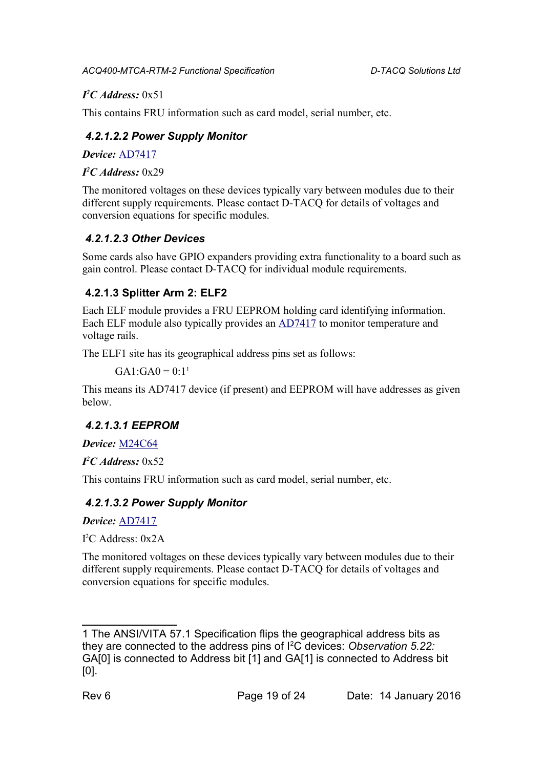#### *I <sup>2</sup>C Address:* 0x51

This contains FRU information such as card model, serial number, etc.

#### *4.2.1.2.2 Power Supply Monitor*

*Device:* [AD7417](http://www.analog.com/media/en/technical-documentation/data-sheets/AD7416_7417_7418.pdf)

*I <sup>2</sup>C Address:* 0x29

The monitored voltages on these devices typically vary between modules due to their different supply requirements. Please contact D-TACQ for details of voltages and conversion equations for specific modules.

### *4.2.1.2.3 Other Devices*

Some cards also have GPIO expanders providing extra functionality to a board such as gain control. Please contact D-TACQ for individual module requirements.

### **4.2.1.3 Splitter Arm 2: ELF2**

Each ELF module provides a FRU EEPROM holding card identifying information. Each ELF module also typically provides an [AD7417](http://www.analog.com/media/en/technical-documentation/data-sheets/AD7416_7417_7418.pdf) to monitor temperature and voltage rails.

The ELF1 site has its geographical address pins set as follows:

 $GA1:GA0 = 0.11$  $GA1:GA0 = 0.11$  $GA1:GA0 = 0.11$ 

This means its AD7417 device (if present) and EEPROM will have addresses as given below.

### *4.2.1.3.1 EEPROM*

*Device:* [M24C64](http://www.st.com/web/en/resource/technical/document/datasheet/CD00259166.pdf)

*I <sup>2</sup>C Address:* 0x52

This contains FRU information such as card model, serial number, etc.

### *4.2.1.3.2 Power Supply Monitor*

*Device:* [AD7417](http://www.analog.com/media/en/technical-documentation/data-sheets/AD7416_7417_7418.pdf)

I <sup>2</sup>C Address: 0x2A

The monitored voltages on these devices typically vary between modules due to their different supply requirements. Please contact D-TACQ for details of voltages and conversion equations for specific modules.

<span id="page-18-0"></span><sup>1</sup> The ANSI/VITA 57.1 Specification flips the geographical address bits as they are connected to the address pins of I<sup>2</sup>C devices: *Observation 5.22:* GA[0] is connected to Address bit [1] and GA[1] is connected to Address bit [0].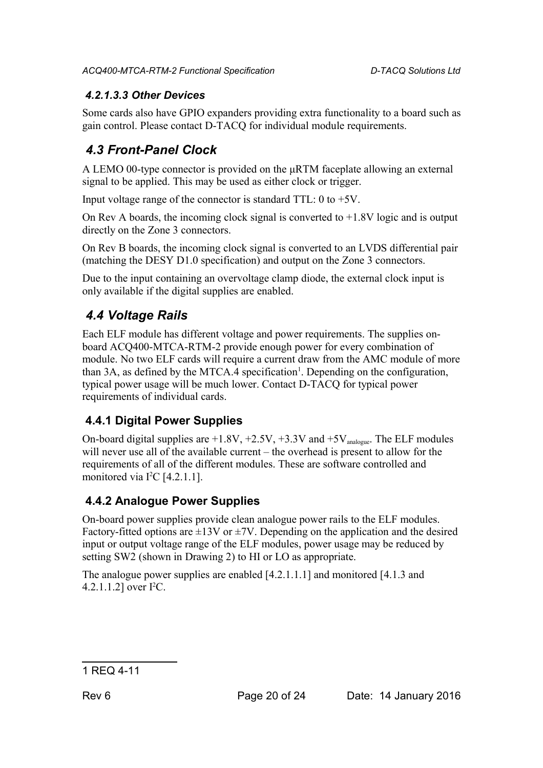#### *4.2.1.3.3 Other Devices*

Some cards also have GPIO expanders providing extra functionality to a board such as gain control. Please contact D-TACQ for individual module requirements.

## <span id="page-19-0"></span> *4.3 Front-Panel Clock*

A LEMO 00-type connector is provided on the μRTM faceplate allowing an external signal to be applied. This may be used as either clock or trigger.

Input voltage range of the connector is standard TTL: 0 to +5V.

On Rev A boards, the incoming clock signal is converted to  $+1.8V$  logic and is output directly on the Zone 3 connectors.

On Rev B boards, the incoming clock signal is converted to an LVDS differential pair (matching the DESY D1.0 specification) and output on the Zone 3 connectors.

Due to the input containing an overvoltage clamp diode, the external clock input is only available if the digital supplies are enabled.

## *4.4 Voltage Rails*

Each ELF module has different voltage and power requirements. The supplies onboard ACQ400-MTCA-RTM-2 provide enough power for every combination of module. No two ELF cards will require a current draw from the AMC module of more than  $3A$ , as defined by the MTCA.4 specification<sup>[1](#page-19-1)</sup>. Depending on the configuration, typical power usage will be much lower. Contact D-TACQ for typical power requirements of individual cards.

## **4.4.1 Digital Power Supplies**

On-board digital supplies are  $+1.8V$ ,  $+2.5V$ ,  $+3.3V$  and  $+5V$ <sub>analogue</sub>. The ELF modules will never use all of the available current – the overhead is present to allow for the requirements of all of the different modules. These are software controlled and monitored via I<sup>2</sup>C [\[4.2.1.1\]](#page-15-2).

### **4.4.2 Analogue Power Supplies**

On-board power supplies provide clean analogue power rails to the ELF modules. Factory-fitted options are  $\pm$ 13V or  $\pm$ 7V. Depending on the application and the desired input or output voltage range of the ELF modules, power usage may be reduced by setting SW2 (shown in [Drawing 2\)](#page-20-0) to HI or LO as appropriate.

The analogue power supplies are enabled [\[4.2.1.1.1\]](#page-15-0) and monitored [\[4.1.3](#page-13-1) an[d](#page-16-2) [4.2.1.1.2\]](#page-16-2) over  $I^2C$ .

#### <span id="page-19-1"></span>1 REQ 4-11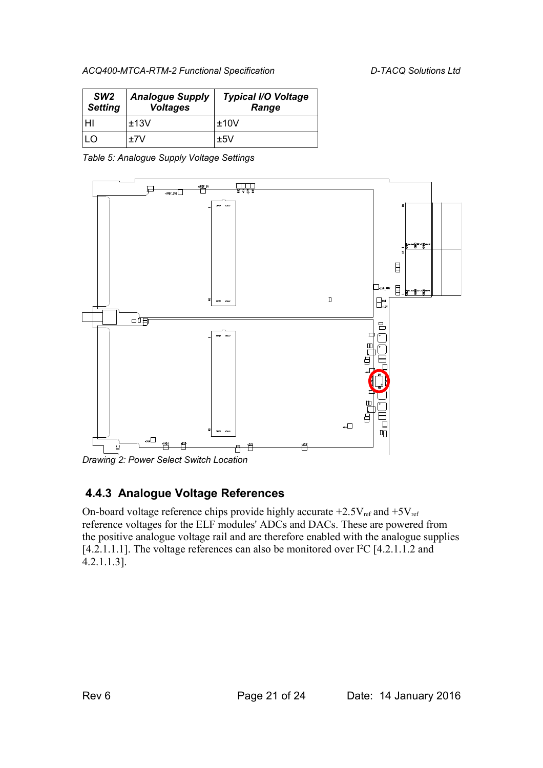| SW <sub>2</sub><br><b>Setting</b> | <b>Analogue Supply</b><br><b>Voltages</b> | <b>Typical I/O Voltage</b><br>Range |
|-----------------------------------|-------------------------------------------|-------------------------------------|
| HI                                | ±13V                                      | ±10V                                |
| ח ו                               | +7V                                       | ±5V                                 |

*Table 5: Analogue Supply Voltage Settings*



<span id="page-20-0"></span>*Drawing 2: Power Select Switch Location*

#### **4.4.3 Analogue Voltage References**

On-board voltage reference chips provide highly accurate  $+2.5V_{ref}$  and  $+5V_{ref}$ reference voltages for the ELF modules' ADCs and DACs. These are powered from the positive analogue voltage rail and are therefore enabled with the analogue supplies [\[4.2.1.1.1\]](#page-15-0). The voltage references can also be monitore[d](#page-17-0) over  $I^2C$  [\[4.2.1.1.2](#page-16-2) and [4.2.1.1.3\]](#page-17-0).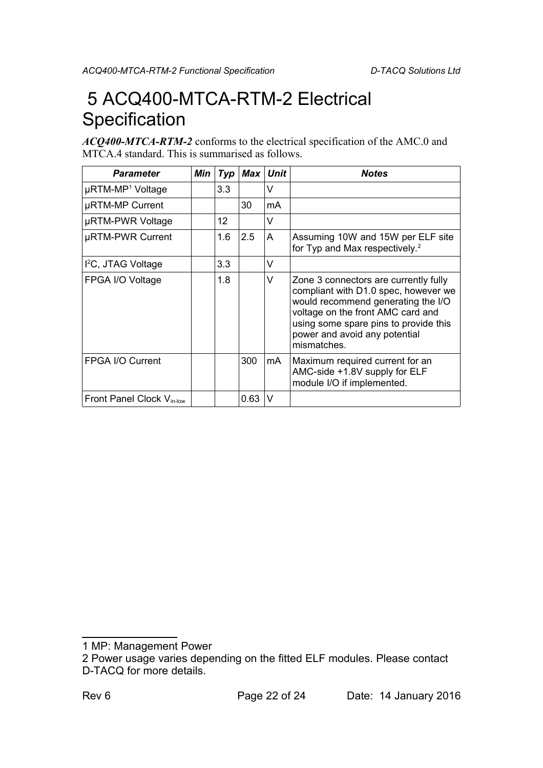## <span id="page-21-0"></span> 5 ACQ400-MTCA-RTM-2 Electrical **Specification**

*ACQ400-MTCA-RTM-2* conforms to the electrical specification of the AMC.0 and MTCA.4 standard. This is summarised as follows.

| <b>Parameter</b>                      | Min | Typ | $Max$ | <b>Unit</b> | <b>Notes</b>                                                                                                                                                                                                                                      |
|---------------------------------------|-----|-----|-------|-------------|---------------------------------------------------------------------------------------------------------------------------------------------------------------------------------------------------------------------------------------------------|
| µRTM-MP <sup>1</sup> Voltage          |     | 3.3 |       | V           |                                                                                                                                                                                                                                                   |
| µRTM-MP Current                       |     |     | 30    | mA          |                                                                                                                                                                                                                                                   |
| µRTM-PWR Voltage                      |     | 12  |       | v           |                                                                                                                                                                                                                                                   |
| µRTM-PWR Current                      |     | 1.6 | 2.5   | A           | Assuming 10W and 15W per ELF site<br>for Typ and Max respectively. <sup>2</sup>                                                                                                                                                                   |
| I <sup>2</sup> C, JTAG Voltage        |     | 3.3 |       | V           |                                                                                                                                                                                                                                                   |
| FPGA I/O Voltage                      |     | 1.8 |       | V           | Zone 3 connectors are currently fully<br>compliant with D1.0 spec, however we<br>would recommend generating the I/O<br>voltage on the front AMC card and<br>using some spare pins to provide this<br>power and avoid any potential<br>mismatches. |
| <b>FPGA I/O Current</b>               |     |     | 300   | mA          | Maximum required current for an<br>AMC-side +1.8V supply for ELF<br>module I/O if implemented.                                                                                                                                                    |
| Front Panel Clock V <sub>in-low</sub> |     |     | 0.63  | V           |                                                                                                                                                                                                                                                   |

<span id="page-21-1"></span><sup>1</sup> MP: Management Power

<span id="page-21-2"></span><sup>2</sup> Power usage varies depending on the fitted ELF modules. Please contact D-TACQ for more details.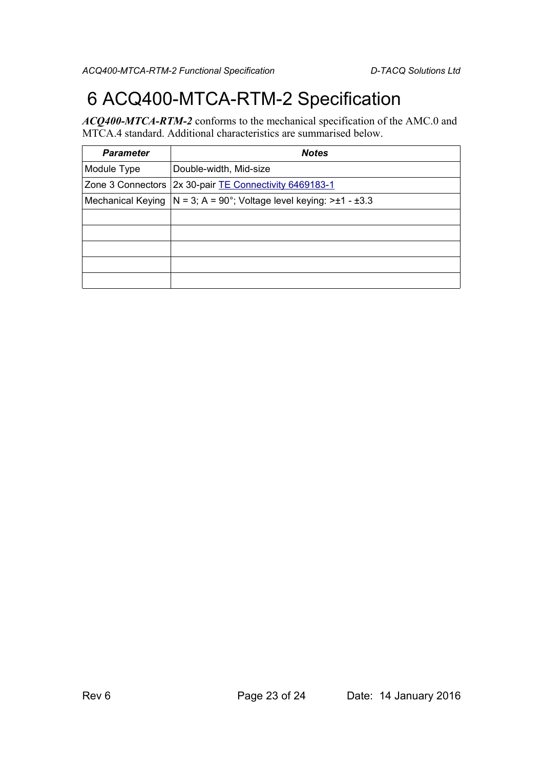## 6 ACQ400-MTCA-RTM-2 Specification

*ACQ400-MTCA-RTM-2* conforms to the mechanical specification of the AMC.0 and MTCA.4 standard. Additional characteristics are summarised below.

| <b>Parameter</b>  | <b>Notes</b>                                       |
|-------------------|----------------------------------------------------|
| Module Type       | Double-width, Mid-size                             |
| Zone 3 Connectors | 2x 30-pair TE Connectivity 6469183-1               |
| Mechanical Keying | N = 3; A = 90°; Voltage level keying: $>±1 - ±3.3$ |
|                   |                                                    |
|                   |                                                    |
|                   |                                                    |
|                   |                                                    |
|                   |                                                    |